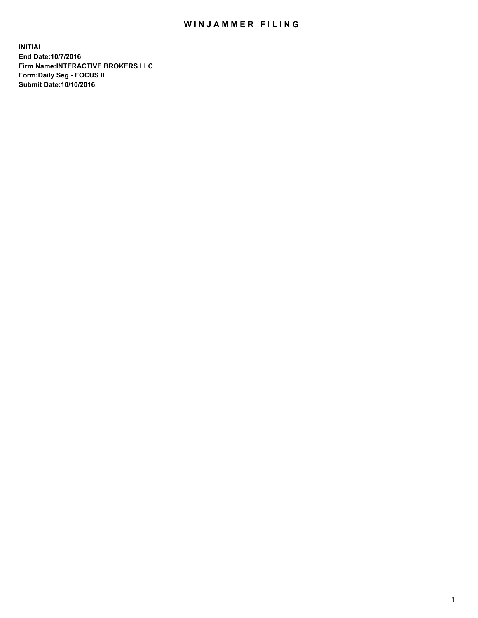## WIN JAMMER FILING

**INITIAL End Date:10/7/2016 Firm Name:INTERACTIVE BROKERS LLC Form:Daily Seg - FOCUS II Submit Date:10/10/2016**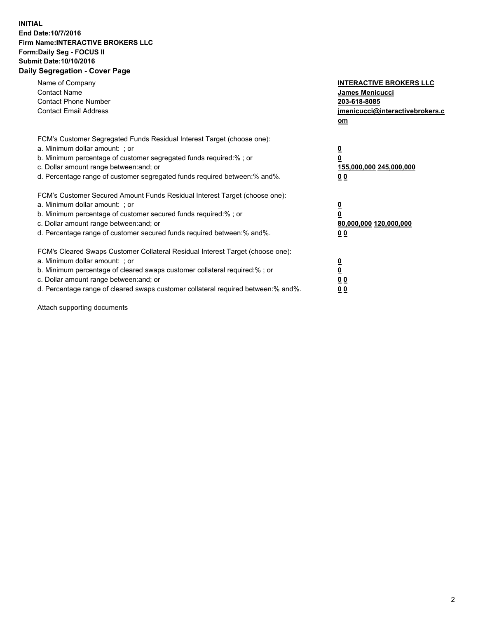## **INITIAL End Date:10/7/2016 Firm Name:INTERACTIVE BROKERS LLC Form:Daily Seg - FOCUS II Submit Date:10/10/2016 Daily Segregation - Cover Page**

| Name of Company<br><b>Contact Name</b><br><b>Contact Phone Number</b><br><b>Contact Email Address</b>                                                                                                                                                                                                                          | <b>INTERACTIVE BROKERS LLC</b><br>James Menicucci<br>203-618-8085<br><u>jmenicucci@interactivebrokers.c</u><br>om |
|--------------------------------------------------------------------------------------------------------------------------------------------------------------------------------------------------------------------------------------------------------------------------------------------------------------------------------|-------------------------------------------------------------------------------------------------------------------|
| FCM's Customer Segregated Funds Residual Interest Target (choose one):<br>a. Minimum dollar amount: ; or<br>b. Minimum percentage of customer segregated funds required:%; or<br>c. Dollar amount range between: and; or<br>d. Percentage range of customer segregated funds required between:% and%.                          | $\overline{\mathbf{0}}$<br>0<br>155,000,000 245,000,000<br>0 <sub>0</sub>                                         |
| FCM's Customer Secured Amount Funds Residual Interest Target (choose one):<br>a. Minimum dollar amount: ; or<br>b. Minimum percentage of customer secured funds required:%; or<br>c. Dollar amount range between: and; or<br>d. Percentage range of customer secured funds required between:% and%.                            | $\overline{\mathbf{0}}$<br>$\overline{\mathbf{0}}$<br>80,000,000 120,000,000<br>00                                |
| FCM's Cleared Swaps Customer Collateral Residual Interest Target (choose one):<br>a. Minimum dollar amount: ; or<br>b. Minimum percentage of cleared swaps customer collateral required:% ; or<br>c. Dollar amount range between: and; or<br>d. Percentage range of cleared swaps customer collateral required between:% and%. | $\overline{\mathbf{0}}$<br>$\overline{\mathbf{0}}$<br>0 <sub>0</sub><br><u>00</u>                                 |

Attach supporting documents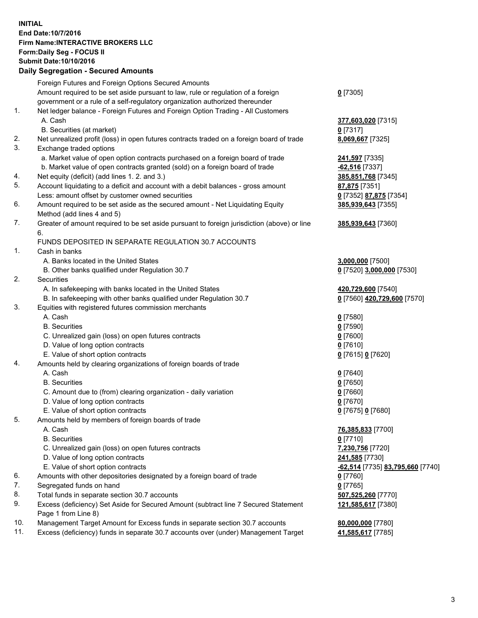## **INITIAL End Date:10/7/2016 Firm Name:INTERACTIVE BROKERS LLC Form:Daily Seg - FOCUS II Submit Date:10/10/2016 Daily Segregation - Secured Amounts**

|     | Dany Ocgregation - Occurea Aniounts                                                                        |                                  |
|-----|------------------------------------------------------------------------------------------------------------|----------------------------------|
|     | Foreign Futures and Foreign Options Secured Amounts                                                        |                                  |
|     | Amount required to be set aside pursuant to law, rule or regulation of a foreign                           | $0$ [7305]                       |
|     | government or a rule of a self-regulatory organization authorized thereunder                               |                                  |
| 1.  | Net ledger balance - Foreign Futures and Foreign Option Trading - All Customers                            |                                  |
|     | A. Cash                                                                                                    | 377,603,020 [7315]               |
|     | B. Securities (at market)                                                                                  | 0 [7317]                         |
| 2.  | Net unrealized profit (loss) in open futures contracts traded on a foreign board of trade                  | 8,069,667 [7325]                 |
| 3.  | Exchange traded options                                                                                    |                                  |
|     | a. Market value of open option contracts purchased on a foreign board of trade                             | 241,597 [7335]                   |
|     | b. Market value of open contracts granted (sold) on a foreign board of trade                               | $-62,516$ [7337]                 |
| 4.  | Net equity (deficit) (add lines 1.2. and 3.)                                                               | 385,851,768 [7345]               |
| 5.  | Account liquidating to a deficit and account with a debit balances - gross amount                          | 87,875 [7351]                    |
|     | Less: amount offset by customer owned securities                                                           | 0 [7352] 87,875 [7354]           |
| 6.  | Amount required to be set aside as the secured amount - Net Liquidating Equity                             | 385,939,643 [7355]               |
|     | Method (add lines 4 and 5)                                                                                 |                                  |
| 7.  | Greater of amount required to be set aside pursuant to foreign jurisdiction (above) or line                | 385,939,643 [7360]               |
|     | 6.                                                                                                         |                                  |
|     | FUNDS DEPOSITED IN SEPARATE REGULATION 30.7 ACCOUNTS                                                       |                                  |
| 1.  | Cash in banks                                                                                              |                                  |
|     | A. Banks located in the United States                                                                      | 3,000,000 [7500]                 |
|     | B. Other banks qualified under Regulation 30.7                                                             | 0 [7520] 3,000,000 [7530]        |
| 2.  | Securities                                                                                                 |                                  |
|     | A. In safekeeping with banks located in the United States                                                  | 420,729,600 [7540]               |
|     | B. In safekeeping with other banks qualified under Regulation 30.7                                         | 0 [7560] 420,729,600 [7570]      |
| 3.  | Equities with registered futures commission merchants                                                      |                                  |
|     | A. Cash                                                                                                    | $0$ [7580]                       |
|     | <b>B.</b> Securities                                                                                       | $0$ [7590]                       |
|     | C. Unrealized gain (loss) on open futures contracts                                                        | $0$ [7600]                       |
|     | D. Value of long option contracts                                                                          | $0$ [7610]                       |
|     | E. Value of short option contracts                                                                         | 0 [7615] 0 [7620]                |
| 4.  | Amounts held by clearing organizations of foreign boards of trade                                          |                                  |
|     | A. Cash                                                                                                    | $0$ [7640]                       |
|     | <b>B.</b> Securities                                                                                       | $0$ [7650]                       |
|     | C. Amount due to (from) clearing organization - daily variation                                            | $0$ [7660]                       |
|     | D. Value of long option contracts                                                                          | $0$ [7670]                       |
|     | E. Value of short option contracts                                                                         | 0 [7675] 0 [7680]                |
| 5.  | Amounts held by members of foreign boards of trade                                                         |                                  |
|     | A. Cash                                                                                                    | 76,385,833 [7700]                |
|     | <b>B.</b> Securities                                                                                       | $0$ [7710]                       |
|     | C. Unrealized gain (loss) on open futures contracts                                                        | 7,230,756 [7720]                 |
|     | D. Value of long option contracts                                                                          | 241,585 [7730]                   |
|     | E. Value of short option contracts                                                                         | -62,514 [7735] 83,795,660 [7740] |
| 6.  | Amounts with other depositories designated by a foreign board of trade                                     | 0 [7760]                         |
| 7.  | Segregated funds on hand                                                                                   | $0$ [7765]                       |
| 8.  | Total funds in separate section 30.7 accounts                                                              | 507,525,260 [7770]               |
| 9.  | Excess (deficiency) Set Aside for Secured Amount (subtract line 7 Secured Statement<br>Page 1 from Line 8) | 121,585,617 [7380]               |
| 10. | Management Target Amount for Excess funds in separate section 30.7 accounts                                | 80,000,000 [7780]                |
| 11. | Excess (deficiency) funds in separate 30.7 accounts over (under) Management Target                         | 41,585,617 [7785]                |
|     |                                                                                                            |                                  |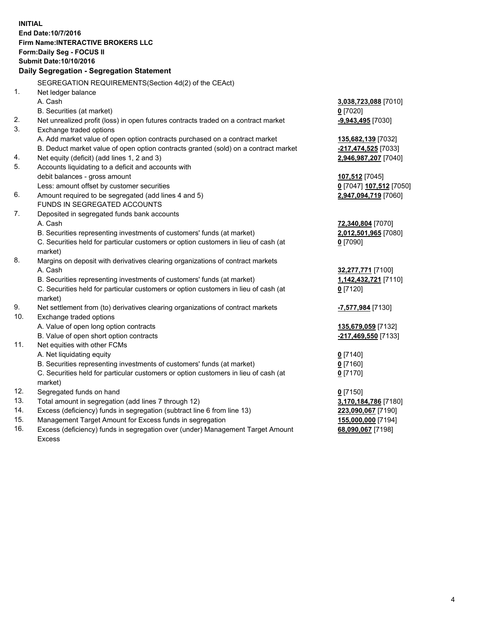**INITIAL End Date:10/7/2016 Firm Name:INTERACTIVE BROKERS LLC Form:Daily Seg - FOCUS II Submit Date:10/10/2016 Daily Segregation - Segregation Statement** SEGREGATION REQUIREMENTS(Section 4d(2) of the CEAct) 1. Net ledger balance A. Cash **3,038,723,088** [7010] B. Securities (at market) **0** [7020] 2. Net unrealized profit (loss) in open futures contracts traded on a contract market **-9,943,495** [7030] 3. Exchange traded options A. Add market value of open option contracts purchased on a contract market **135,682,139** [7032] B. Deduct market value of open option contracts granted (sold) on a contract market **-217,474,525** [7033] 4. Net equity (deficit) (add lines 1, 2 and 3) **2,946,987,207** [7040] 5. Accounts liquidating to a deficit and accounts with debit balances - gross amount **107,512** [7045] Less: amount offset by customer securities **0** [7047] **107,512** [7050] 6. Amount required to be segregated (add lines 4 and 5) **2,947,094,719** [7060] FUNDS IN SEGREGATED ACCOUNTS 7. Deposited in segregated funds bank accounts A. Cash **72,340,804** [7070] B. Securities representing investments of customers' funds (at market) **2,012,501,965** [7080] C. Securities held for particular customers or option customers in lieu of cash (at market) **0** [7090] 8. Margins on deposit with derivatives clearing organizations of contract markets A. Cash **32,277,771** [7100] B. Securities representing investments of customers' funds (at market) **1,142,432,721** [7110] C. Securities held for particular customers or option customers in lieu of cash (at market) **0** [7120] 9. Net settlement from (to) derivatives clearing organizations of contract markets **-7,577,984** [7130] 10. Exchange traded options A. Value of open long option contracts **135,679,059** [7132] B. Value of open short option contracts **-217,469,550** [7133] 11. Net equities with other FCMs A. Net liquidating equity **0** [7140] B. Securities representing investments of customers' funds (at market) **0** [7160] C. Securities held for particular customers or option customers in lieu of cash (at market) **0** [7170] 12. Segregated funds on hand **0** [7150] 13. Total amount in segregation (add lines 7 through 12) **3,170,184,786** [7180] 14. Excess (deficiency) funds in segregation (subtract line 6 from line 13) **223,090,067** [7190] 15. Management Target Amount for Excess funds in segregation **155,000,000** [7194] **68,090,067** [7198]

16. Excess (deficiency) funds in segregation over (under) Management Target Amount Excess